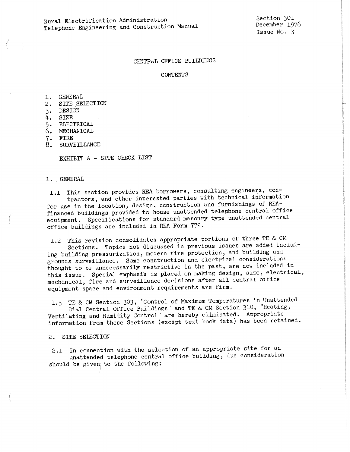Section 301 December 1976 Issue No. *3* 

## CENTRAL OFFICE BUILDINGS

#### CONTENTS

1. GENERAL

- 2. SITE SELECTION
- 3. DESIGN
- 4. SIZE
- 5 ELECTRICAL
- 6. MECHANICAL
- 7. FIRE
- 8. SURVEILLANCE

EXHIBIT A - SITE CHECK LIST

1. GENERAL

1.1 This section provides REA borrowers, consulting engineers, contractors, and other interested parties with technical information for use in the location, design, construction and furnishings of REAfinanced buildings provided to house unattended telephone central office equipment. Specifications for standard masonry type unattended central office buildings are included in REA Form 772.

1.2 This revision consolidates appropriate portions of three TE & CM Sections. Topics not discussed in previous issues are added including building pressurization, modern fire protection, and building and grounds surveillance. Some construction and electrical considerations thought to be unnecessarily restrictive **in** the past, are now included in this issue. Special emphasis is placed on making design, size, electrical, mechanical, fire and surveillance decisions after all central 01Tice equipment space and environment requirements are firm.

1.3 TE & CM Section 303, "Control of Maximum Temperatures in Unattended

Dial Central Office Buildings" and TE & CM Section 310, "Heating, Ventilating and Humidity Control" are hereby eliminated. Appropriate information from these Sections (except text book data) has been retained.

2. SITE SELECTION

2.1 In connection with the selection of an appropriate site for an unattended telephone central office building, due consideration should be given to the following: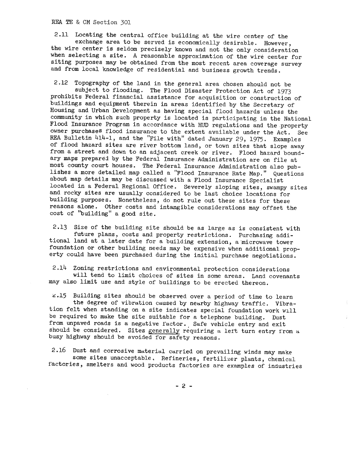REA TE & CM Section 301

2.11 Locating the central office building at the wire center of the exchange area to be served is economically desirable. However, the wire center is seldom precisely known and not the only consideration when selecting a site. A reasonable approximation of the wire center for siting purposes may be obtained from the most recent area coverage survey and from local knowledge of residential and business growth trends.

2.12 Topography of the land in the general area chosen should not be subject to flooding. The Flood Disaster Protection Act of 1973 prohibits Federal financial assistance for acquisition or construction of buildings and equipment therein in areas identified by the Secretary of Housing and Urban Development as having special flood hazards unless the community in which such property is located is participating in the National Flood Insurance Program in accordance with HUD regulations and the .property owner purchases flood insurance to the extent available under the Act. See REA Bulletin 414-1, and the "File with" dated January 29, 1975. Examples of flood hazard sites are river bottom land, or town sites that slope away from a street and down to an adjacent creek or river. Flood hazard boundary maps prepared by the Federal Insurance Administration are on file at most county court houses. The Federal Insurance Administration also publishes a more detailed map called a "Flood Insurance Rate Map." Questions about map details may be discussed with a Flood Insurance Specialist located in a Federal Regional Office. Severely sloping sites, swampy sites and rocky sites are usually considered to be last choice locations for building purposes. Nonetheless, do not rule out these sites for these reasons alone. other costs and intangible considerations may offset the cost of "building" a good site.

2.13 Size of the building site should be as large as is consistent with future plans, costs and property restrictions. Purchasing additional land at a later date for a building extension, a microwave tower foundation or other building needs may be expensive when additional property could have been purchased during the initial purchase negotiations.

2.14 Zoning restrictions and envitonmental protection considerations will tend to limit choices of sites in some areas. Land covenants may also limit use and style of buildings to be erected thereon.

c.15 Building sites should be observed over a period of time to learn the degree of vibration caused by nearby highway traffic. Vibration felt when standing on a site indicates special foundation work will be required to make the site suitable for a telephone building. Dust from unpaved roads is a negative factor. Safe vehicle entry and exit should be considered. Sites generally requiring a left turn entry from a busy highway should be avoided for safety reasons.

 $\hat{\vec{r}}$ 

2.16 Dust and corrosive material carried on prevailing winds may make some sites unacceptable, Refineries, fertilizer plants, chemical factories, smelters and wood products factories are examples of industries

- 2 -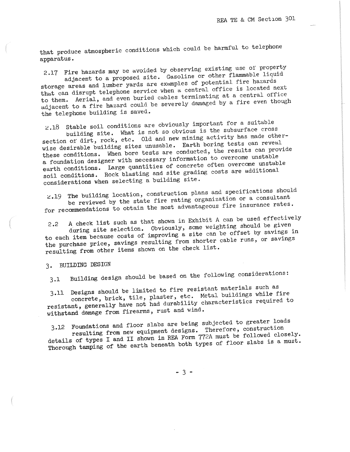that produce atmospheric conditions which could be harmful to telephone apparatus.

2.17 Fire hazards may be avoided by observing existing use of property adjacent to a proposed site. Gasoline or other flammable liquid storage areas and lumber yards are exwnples of potential fire hazards that can disrupt telephone service when a central office is located next to them. Aerial, and even buried cables terminating at a central office adjacent to a fire hazard could be severely damaged by a fire even though the telephone building is saved.

2.18 Stable soil conditions are obviously important for a suitable building site. What is not so obvious is the subsurface cross section of dirt, rock, etc. Old and new mining activity has made otherwise desirable building sites unusable. Earth boring tests can revea<sup>l</sup> these conditions. When bore tests are conducted, the results can provide a foundation designer with necessary information to overcome unstable earth conditions. Large quantities of concrete often overcome unstable soil conditions. Rock blasting and site grading costs are additional considerations when selecting a building site.

~.19 The building location, construction plans and specifications should be reviewed by the state fire rating organization or a consultant for recommendations to obtain the most advantageous fire insurance rates.

2.2 A check list such as that shown in Exhibit A can be used effectively during site selection. Obviously, some weighting should be given to each item because costs of improving a site can be offset by savings in the purchase price, savings resulting from shorter cable runs, or savings resulting from other items shown on the check list.

3. BUILDING DESIGN

3.1 Building design should be based on the following considerations:

3.11 Designs should be limited to fire resistant materials such as concrete, brick, tile, plaster, etc. Metal buildings while fire resistant, generally have not had durability characteristics required to withstand damage from firearms, rust and wind.

3.12 Foundations and floor slabs are being subjected to greater loads resulting from new equipment designs. Therefore, construction details of types I and II shown in REA Form 772A must be followed closely. Thorough tamping of the earth beneath both types of floor slabs is a must.

- 3 -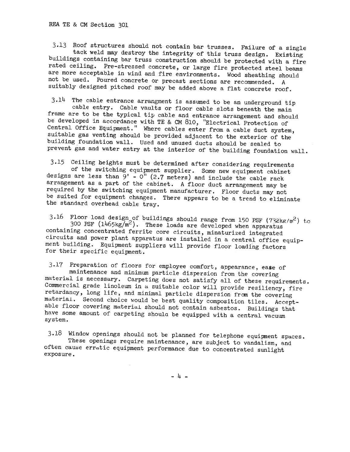3.13 Roof structures should not contain bar trusses. Failure of a single tack weld may destroy the integrity of this truss design. Existing buildings containing bar truss construction should be protected with a fire rated ceiling. Pre-stressed concrete, or large fire protected steel beams are more acceptable in wind and fire environments. Wood sheathing should not be used. Poured concrete or precast sections are recommended. A suitably designed pitched roof may be added above a flat concrete roof.

3.14 The cable entrance arrangment is assumed to be an underground tip cable entry. Cable vaults or floor cable slots beneath the main frame are to be the typical tip cable and entrance arrangement and should be developed in accordance with TE & CM 810, "Electrical Protection of Central Office Equipment." Where cables enter from a cable duct system, suitable gas venting should be provided adjacent to the exterior of the building foundation wall. Used and unused ducts should be sealed to prevent gas and water entry at the interior of the building foundation wall.

3.15 Ceiling heights must be determined after considering requirements of the switching equipment supplier. Some new equipment cabinet designs are less than  $\bar{9}'$  -  $0''$  (2.7 meters) and include the cable rack arrangement as a part of the cabinet. A floor duct arrangement may be required by the switching equipment manufacturer. Floor ducts may not be suited for equipment changes. There appears to be a trend to eliminate the standard overhead cable tray.

3.16 Floor load design of buildings should range from 150 PSF (732kg/m<sup>2</sup>) to 300 PSF (1465kg/m<sup>2</sup>). These loads are developed when apparatus containing concentrated ferrite core circuits, minaturized integrated circuits and power plant apparatus are installed in a central office equipment building. Equipment suppliers will provide floor loading factors for their specific equipment.

3.17 Preparation of floors for employee comfort, appearance, ease of maintenance and minimum particle dispersion from the covering material is necessary. Carpeting does not satisfy all of these requirements. Commercial grade linoleum in a suitable color will provide resiliency, fire retardancy, long life, and minimal particle dispersion from the covering material, Second choice would be best quality composition tiles. Acceptable floor covering material should not contain asbestos. Buildings that have some amount of carpeting shoula be equipped with a central vacuum system.

3.18 Window openings should not be planned for telephone equipment spaces. These openings require maintenance, are subject to vandalism, and often cause erratic equipment performance due to concentrated sunlight exposure.

- 4 -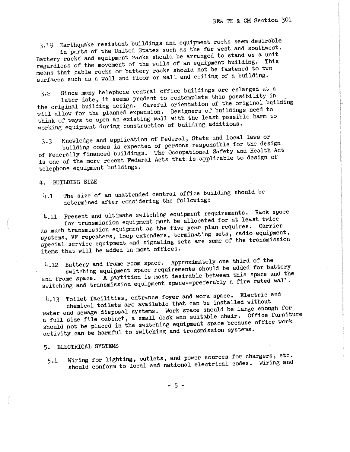3.19 Earthquake resistant buildings and equipment racks seem desirable in parts of the United States such as the far west and southwest.

Battery racks and equipment racks should be arranged to stand as a unit regardless of the movement of the walls of an equipment building. This means that cable racks or battery racks should not be fastened to two ·surfaces such as a wall and floor or wall and ceiling of a building.

3.c Since many telephone central office buildings are enlarged at a later date, it seems prudent to contemplate this possibility in

the original building design. Careful orientation of the original building will allow for the planned expansion. Designers of buildings need to think of ways to open an existing wall with the least possible harm to working equipment during construction of building additions.

3.3 Knowledge and application of Federal, State and local laws or building codes is expected of persons responsible for the design of Federally financed buildings. The Occupational Safety ana Health Act is one of the more recent Federal Acts that: is applicable to design of telephone equipment buildings.

#### 4. BUILDING SIZE

4.1 The size of an unattended central office building should be determined after considering the following:

4.ll Present and ultimate switching equipment requirements. Rack space for transmission equipment must be allocated for at least twice as much transmission equipment as the five year plan requires. Carrier systems, VF repeaters, loop extenders, terminating sets, radio equipment, special service equipment and signaling sets are some of the transmission items that will be added in most offices.

4.12 Battery and frame room space. Approximately one third of the switching equipment space requirements should be added for battery and frame space. A partition is most desirable between this space and the switching and transmission equipment space--preferably a fire rated wall.

4.13 Toilet facilities, entrance foyer and work space. Electric and chemical toilets are available that can be installed without

water and sewage disposal systems. Work space Should be large enough for a full size file cabinet, a small desk ana suitable chair. Office furniture should not be placed in the switching equipment space because office work activity can be harmful to switching and transmission systems.

## 5. ELECTRICAL SYSTEMS

5.1 Wiring for lighting, outlets, and power sources for chargers, etc. should conform to local and national electrical codes. Wiring and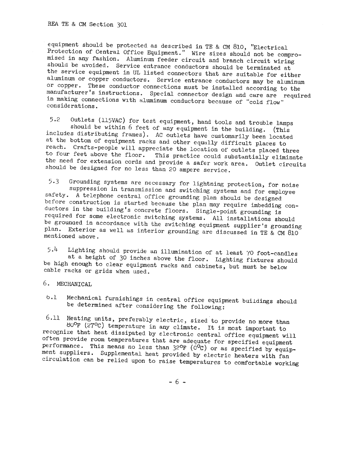equipment should be protected as described in TE & CM 810, "Electrical Protection of Central Office Equipment." Wire sizes should not be compromised in any fashion. Aluminum feeder circuit and branch circuit wiring should be avoided. Service entrance conductors should be terminated at the service equipment in UL listed connectors that are suitable for either aluminum or copper conductors. Service entrance conductors may be aluminum or copper. These conductor connections must be installed according to the manufacturer's instructions. Special connector design and care are required in making connections with aluminum conductors because of ''cold flow" considerations.

5.2 Outlets (115VAC) for test equipment, hand tools and trouble lamps should be within 6 feet of any equipment in the building. (This includes distributing frames). AC outlets have customarily been located at the bottom of equipment racks and other equally difficult places to reach. Crafts-people will appreciate the location of outlets placed three<br>to four feet above the floor. This practice could substantially eliminate This practice could substantially eliminate the need for extension cords and provide a safer work area. Outlet circuits should be designed for no less than 20 ampere service.

5,3 Grounding systems are necessary for lightning protection, for noise suppression in transmission and switching systems and for employee safety. A telephone central office grounding plan should be designed before construction is started because the plan may require imbedding conductors in the building's concrete floors. Single-point grounding is required for some electronic switching systems. All installations should be grounaed in accordance with the switching equipment supplier's grounding <sup>p</sup>lan. Exterior as well as interior grounding are discussed in TE & CM 810 mentioned above.

<sup>5</sup>.4 Lighting should provide an illumination of at least '(0 foot-candles at a height of 30 inches above the floor. Lighting fixtures should be high enough to clear equipment racks and cabinets, but must be below cable racks or grids when used.

- 6. MECHANICAL
- b.l Mechanical furnishings in central office equipment buildings should be determined after considering the following:

6.11 Heating units, preferably electric, sized to provide no more than ~u°F (27°c) temperature in any climate. It is most important to recognize that heat dissipated by electronic central office equipment will often provide room temperatures that are adequate for specified equipment performance. This means no less than  $32^{\circ}F$  ( $0^{\circ}C$ ) or as specified by equipment suppliers. Supplemental heat provided by electric heaters with fan circulation can be relied upon to raise temperatures to comfortable working

- 6 -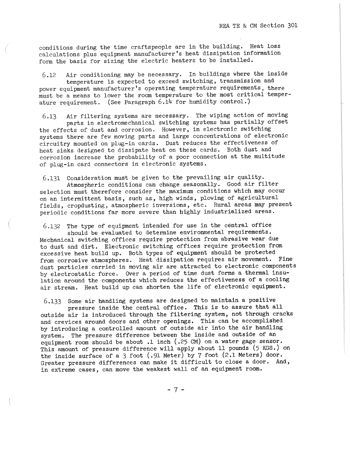conditions during the time craftspeople are in the building. Heat loss calculations plus equipment manufacturer's heat dissipation information form the basis for sizing the electric heaters to be installed.

6.12 Air conditioning may be necessary. In buildings where the inside temperature is expected to exceed switching, transmission and power equipment manufacturer's operating temperature requirements, there

must be a means to lower the room temperature to the most critical temperature requirement. (See Paragraph  $6.14$  for humidity control.)

6.13 Air filtering systems are necessary. The wiping action of moving parts in electromechanical switching systems has partially offset the effects of dust and corrosion. However, in electronic switching systems there are few moving parts and large concentrations of electronic circuitry mounted on plug-in cards. Dust reduces the effectiveness of heat sinks designed to dissipate heat on these cards. Both dust and corrosion increase the probability of a poor connection at the multitude of plug-in card connectors in electronic systems.

6.131 Consideration must be given to the prevailing air quality. Atmospheric conditions can change seasonally. Good air filter selection must therefore consider the maximum conditions which may occur on an intermittent basis, such as, high winds, plowing of agricultural fields, cropdusting, atmospheric inversions, etc. Rural areas may present periodic conditions far more severe than highly industrialized areas.

6.132 The type of equipment intended for use in the central office

should be evaluated to determine environmental requirements. Mechanical switching offices require protection from abrasive wear due to dust and dirt. Electronic switching offices require protection from excessive heat build up. Both types of equipment should be protected from corrosive atmospheres. Heat dissipation requires air movement. Fine dust particles carried in moving air are attracted to electronic components by electrostatic force. Over a period of time dust forms a thermal insulation around the components which reduces the effectiveness of a cooling air stream. Heat build up can shorten the life of electronic equipment.

6.133 Some air handling systems are designed to maintain a positive pressure inside the central office. This is to assure that all

outside air is introduced through the filtering system, not through cracks and crevices around doors and other openings. This can be accomplished by introducing a controlled amount of outside air into the air handling system. The pressure difference between the inside and outside of an equipment room should be about .1 inch (.25 CM) on a water gage sensor. This amount of pressure difference will apply about 11 pounds (5 KGS.) on the inside surface of a 3 foot (.91 Meter) by 7 foot (2.1 Meters) door. Greater pressure differences can make it difficult to close a door. And, in extreme cases, can move the weakest wall of an equipment room.

- 7 -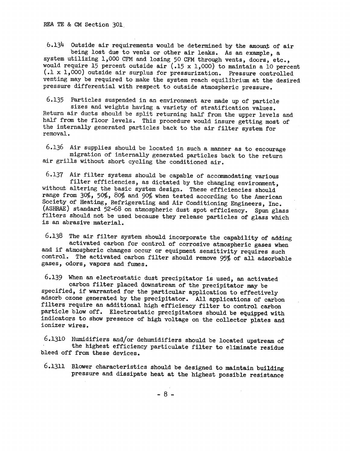REA TE & CM Section 301.

6.134 Outside air requirements would be determined by the amount of air being lost due to vents or other air leaks. As an example, a system utilizing 1,000 CFM and losing 50 CFM through vents, doors, etc., would require 15 percent outside air (.15 x 1,000) to maintain a 10 percent (.1 x 1,000) outside air surplus for pressurization. Pressure controlled venting may be required to make the system reach equilibrium at the desired pressure differential with respect to outside atmospheric pressure.

6.135 Particles suspended in an environment are made up of particle Return air ducts should be split returning half from the upper levels and half from the floor levels. This procedure would insure getting most of the internally generated particles back to the air filter system for removal.

6.136 Air supplies should be located in such a manner as to encourage migration of internally generated particles back to the return air grills without short cycling the conditioned air.

6.137 Air filter systems should be capable of accommodating various filter efficiencies, as dictated by the changing environment. without altering the basic system design. These efficiencies should range from  $30\%$ ,  $50\%$ ,  $80\%$  and  $90\%$  when tested according to the American Society of Heating, Refrigerating and Air Conditioning Engineers, Inc. (ASHRAE) standard 52-68 on atmospheric dust spot efficiency. Spun glass filters should not be used because they release particles of glass which is an abrasive material.

6.138 The air filter system should incorporate the capability of adding activated carbon for control of corrosive atmospheric gases when and if atmospheric changes occur or equipment sensitivity requires such control. The activated carbon filter should remove 95% of all adsorbable gases, odors, vapors and fumes.

6.139 When an electrostatic dust precipitator is used, an activated specified, if warranted for the particular application to effectively adsorb ozone generated by the precipitator. All applications of carbon filters require an additional high efficiency filter to control carbon particle blow off. Electrostatic precipitators should be equipped with indicators to show presence of high voltage on the collector plates and ionizer wires.

6.1310 Humidifiers and/or dehwnidifiers should be located upstream of the highest efficiency particulate filter to eliminate residue bleed off from these devices.

6.1311 Blower characteristics should be designed to maintain building pressure and dissipate heat at the highest possible resistance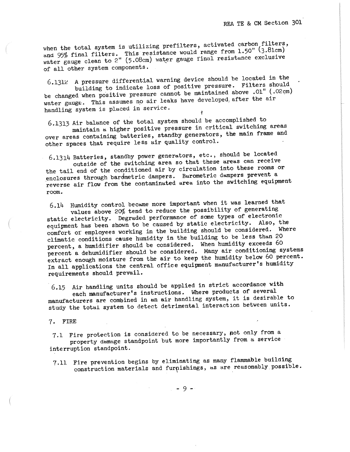when the total system is utilizing prefilters, activated carbon filters, and 95% final filters. This resistance would range from  $1.50$ " (3.81cm) water gauge clean to 2" (5.08cm) water gauge final resistance exclusive of all other system components.

6,131c A pressure differential warning device should be located in the building to indicate loss of positive pressure. Filters should be changed when positive pressure cannot be maintained above .01" (.02cm) water gauge. This assumes no air leaks have developed after the air handling system is placed in service. ł

 $6.1313$  Air balance of the total system should be accomplished to

maintain a higher positive pressure in critical switching areas over areas containing batteries, standby generators, the main frame and other spaces that require less air quality control.

 $-6.1314$  Batteries, standby power generators, etc., should be located outside of the switching area so that these areas can receive the tail end of the conditioned air by circulation into these rooms or enclosures through bardmetric dampers. Barometric dampers prevent a reverse air flow from the contaminated area into the switching equipment room.

 $6.14$  Humidity control became more important when it was learned that values above  $20\%$  tend to reduce the possibility of generating static electricity. Degraded performance of some types of electronic equipment has been shown to be caused by static electricity. Also, the comfort of employees working in the building should be considered. Where climatic conditions cause humidity in the building to be less than 20 percent, a humidifier should be considered. When humidity exceeds 60 percent a dehumidifier should be considered. Many air conditioning systems extract enough moisture from the air to keep the humidity below 60 percent. In all applications the central office equipment manufacturer's humidity requirements should prevail.

6.15 Air handling units should be applied in strict accordance with each manufacturer's instructions. Where products of several

manufacturers are combined in an air handling system, it is desirable to study the total system to detect detrimental interaction between units.

7. FIRE

7,1 Fire protection is considered to be necessary, pot only from a property damage standpoint but more importantly from a service interruption standpoint.

7,11 Fire prevention begins by eliminating as many flammable building construction materials and furnishings, as are reasonably possible.

- 9 -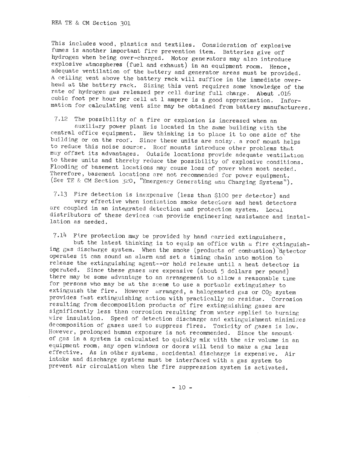REA TE & CM Section 301

This includes wood, plastics and textiles. Consideration of explosive fumes is another important fire prevention item. Batteries give off hydrogen when being over-charged. Motor generators may also introduce explosive atmospheres (fuel and exhaust) in an equipment room. Hence, adequate ventilation of the battery and generator areas must be provided. A ceiling vent above the battery rack will suffice in the immediate overhead at the battery rack. Sizing this vent requires some knowledge of the rate of hydrogen gas released per cell during full charge, About .016 cubic foot per hour per cell at 1 ampere is a good approximation. Information for calculating vent size may be obtained from battery manufacturers.

7.12 The possibility of a fire or explosion is increased when an auxiliary power plant is located in the same building with the central office equipment. New thinking is to place it to one side of the building or on the roof. Since these units are noisy, a roof mount helps to reduce this noise source. Roof mounts introduce other problems that muy offset its advantages. Outside locations provide adequate ventilation to these units and thereby reduce the possibility of explosive conditions. Flooding of basement locations may cause loss of power when most needed. Therefore, basement locations are not recommended for power equipment. (See TE & CM Section 320, "Emergency Generating and Charging Systems").

7,13 Fire detection is inexpensive (less than \$100 per detector) and very effective when ionization smoke detectors and heat detectors are coupled in an integrated detection and protection system. Local distributors of these devices can provide engineering assistance and installation as needed.

 $7.14$  Fire protection may be provided by hand carried extinguishers,

but the latest thinking is to equip an office with a fire extinguishing gas discharge system. When the smoke (products of combustion) detector operates it can sound an alarm and set a timing chain into motion to release the extinguishing agent--or hold release until a heat detector is operated. Since these gases are expensive (about 5 dollars per pound) there may be some advantage to an arrangement to allow a reasonable time for persons who may be at the scene to use a portaole extinguisher to extinguish the fire. However arranged, a halogenated gas or CO<sub>2</sub> system provides fast extinguishing action with practically no residue. Corrosion resulting from decomposition products of fire extinguishing gases are significantly less than corrosion resulting from water applied to burning wire insulation. Speed of detection discharge and extinguishment minimizes decomposition of gases used to suppress fires. Toxicity of gases is low. However, prolonged human exposure is not recommended. Since the amount. of gas in a system is calculated to quickly mix with the air volume in an equipment room, any open windows or doors will tend to make a gas less effective. As in other systems, accidental discharge is expensive. Air intake and discharge systems must be interfaced with a gas system to prevent air circulation when the fire suppression system is activated.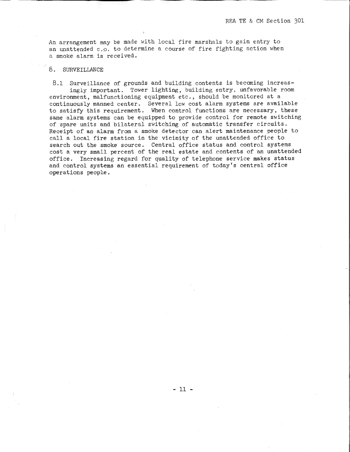An arrangement may be made with local fire marshals to gain entry to an unattended c.o. to determine a course of fire fighting action when a smoke alarm is received.

### 8. SURVEILLANCE

8.1 Surveillance of grounds and building contents is becoming increasingly important. Tower lighting, building entry, unfavorable room environment, malfunctioning equipment etc., should be monitored at a continuously manned center. Several low cost alarm systems are available to satisfy this requirement. When control functions are necessary, these same alarm systems can be equipped to provide control for remote switching of spare units and bilateral switching of automatic transfer circuits. Receipt of an alarm from a smoke detector can alert maintenance people to call a local fire station in the vicinity of the unattended office to search out the smoke source. Central office status and control systems cost a very small percent of the real estate and contents of an unattended office. Increasing regard for quality of telephone service makes status and control systems an essential requirement of today's central office operations people.